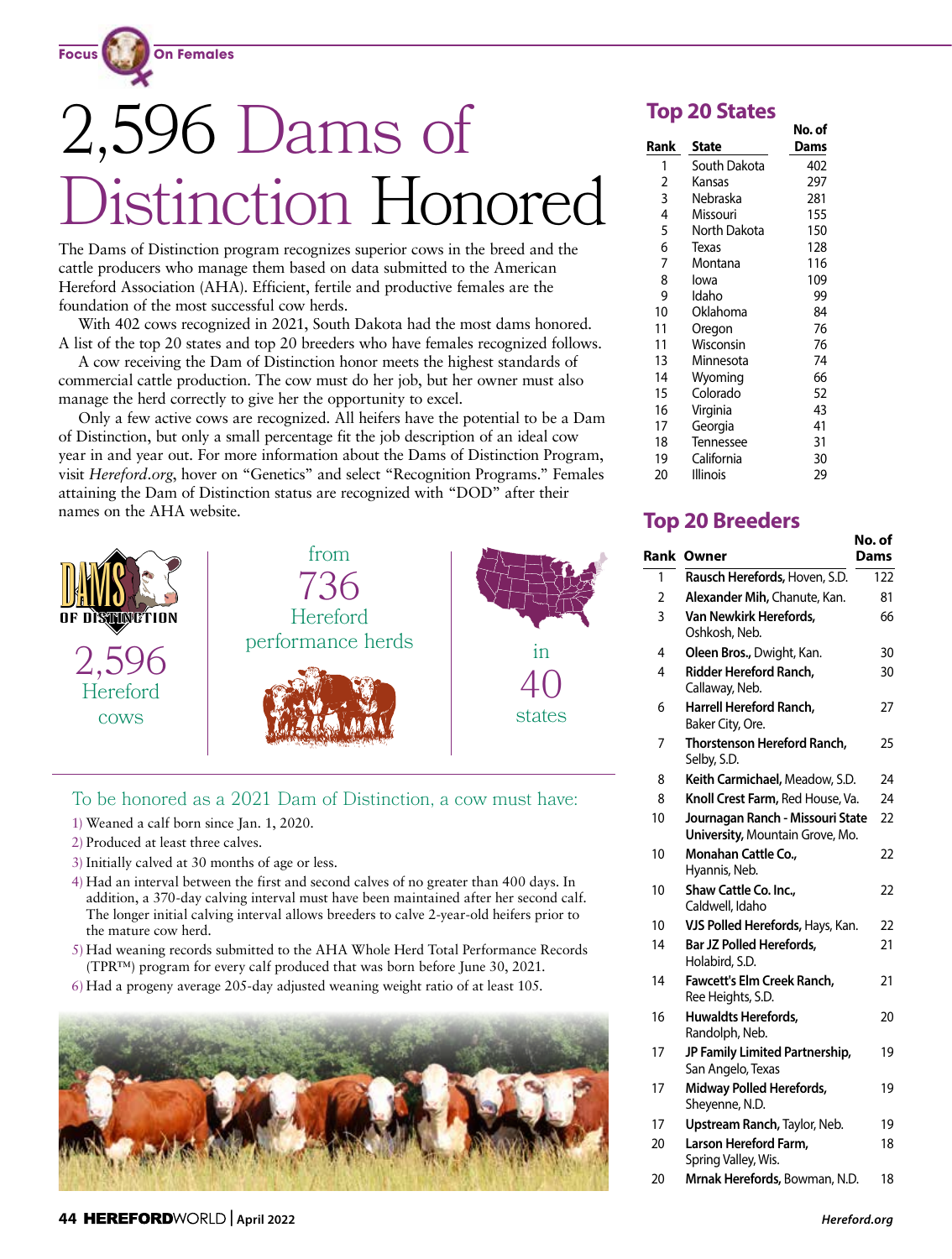

# 2,596 Dams of stinction Honored

The Dams of Distinction program recognizes superior cows in the breed and the cattle producers who manage them based on data submitted to the American Hereford Association (AHA). Efficient, fertile and productive females are the foundation of the most successful cow herds.

With 402 cows recognized in 2021, South Dakota had the most dams honored. A list of the top 20 states and top 20 breeders who have females recognized follows.

A cow receiving the Dam of Distinction honor meets the highest standards of commercial cattle production. The cow must do her job, but her owner must also manage the herd correctly to give her the opportunity to excel.

Only a few active cows are recognized. All heifers have the potential to be a Dam of Distinction, but only a small percentage fit the job description of an ideal cow year in and year out. For more information about the Dams of Distinction Program, visit *Hereford.org*, hover on "Genetics" and select "Recognition Programs." Females attaining the Dam of Distinction status are recognized with "DOD" after their names on the AHA website.



# To be honored as a 2021 Dam of Distinction, a cow must have:

- 1) Weaned a calf born since Jan. 1, 2020.
- 2) Produced at least three calves.
- 3) Initially calved at 30 months of age or less.
- 4) Had an interval between the first and second calves of no greater than 400 days. In addition, a 370-day calving interval must have been maintained after her second calf. The longer initial calving interval allows breeders to calve 2-year-old heifers prior to the mature cow herd.
- 5) Had weaning records submitted to the AHA Whole Herd Total Performance Records (TPR™) program for every calf produced that was born before June 30, 2021.
- 6) Had a progeny average 205-day adjusted weaning weight ratio of at least 105.



# **Top 20 States**

|      |              | No. of |
|------|--------------|--------|
| Rank | <b>State</b> | Dams   |
| 1    | South Dakota | 402    |
| 2    | Kansas       | 297    |
| 3    | Nebraska     | 281    |
| 4    | Missouri     | 155    |
| 5    | North Dakota | 150    |
| 6    | Texas        | 128    |
| 7    | Montana      | 116    |
| 8    | lowa         | 109    |
| 9    | Idaho        | 99     |
| 10   | Oklahoma     | 84     |
| 11   | Oregon       | 76     |
| 11   | Wisconsin    | 76     |
| 13   | Minnesota    | 74     |
| 14   | Wyoming      | 66     |
| 15   | Colorado     | 52     |
| 16   | Virginia     | 43     |
| 17   | Georgia      | 41     |
| 18   | Tennessee    | 31     |
| 19   | California   | 30     |
| 20   | Illinois     | 29     |

# **Top 20 Breeders**

|                |                                                                     | No. of |
|----------------|---------------------------------------------------------------------|--------|
|                | <b>Rank Owner</b>                                                   | Dams   |
| 1              | Rausch Herefords, Hoven, S.D.                                       | 122    |
| $\overline{2}$ | Alexander Mih, Chanute, Kan.                                        | 81     |
| 3              | Van Newkirk Herefords,<br>Oshkosh, Neb.                             | 66     |
| 4              | Oleen Bros., Dwight, Kan.                                           | 30     |
| 4              | Ridder Hereford Ranch.<br>Callaway, Neb.                            | 30     |
| 6              | Harrell Hereford Ranch.<br>Baker City, Ore.                         | 27     |
| 7              | Thorstenson Hereford Ranch.<br>Selby, S.D.                          | 25     |
| 8              | Keith Carmichael, Meadow, S.D.                                      | 24     |
| 8              | Knoll Crest Farm, Red House, Va.                                    | 24     |
| 10             | Journagan Ranch - Missouri State<br>University, Mountain Grove, Mo. | 22     |
| 10             | Monahan Cattle Co.,<br>Hyannis, Neb.                                | 22     |
| 10             | Shaw Cattle Co. Inc.,<br>Caldwell, Idaho                            | 22     |
| 10             | VJS Polled Herefords, Hays, Kan.                                    | 22     |
| 14             | <b>Bar JZ Polled Herefords,</b><br>Holabird, S.D.                   | 21     |
| 14             | Fawcett's Elm Creek Ranch,<br>Ree Heights, S.D.                     | 21     |
| 16             | <b>Huwaldts Herefords,</b><br>Randolph, Neb.                        | 20     |
| 17             | JP Family Limited Partnership,<br>San Angelo, Texas                 | 19     |
| 17             | Midway Polled Herefords,<br>Sheyenne, N.D.                          | 19     |
| 17             | Upstream Ranch, Taylor, Neb.                                        | 19     |
| 20             | Larson Hereford Farm,<br>Spring Valley, Wis.                        | 18     |
| 20             | Mrnak Herefords, Bowman, N.D.                                       | 18     |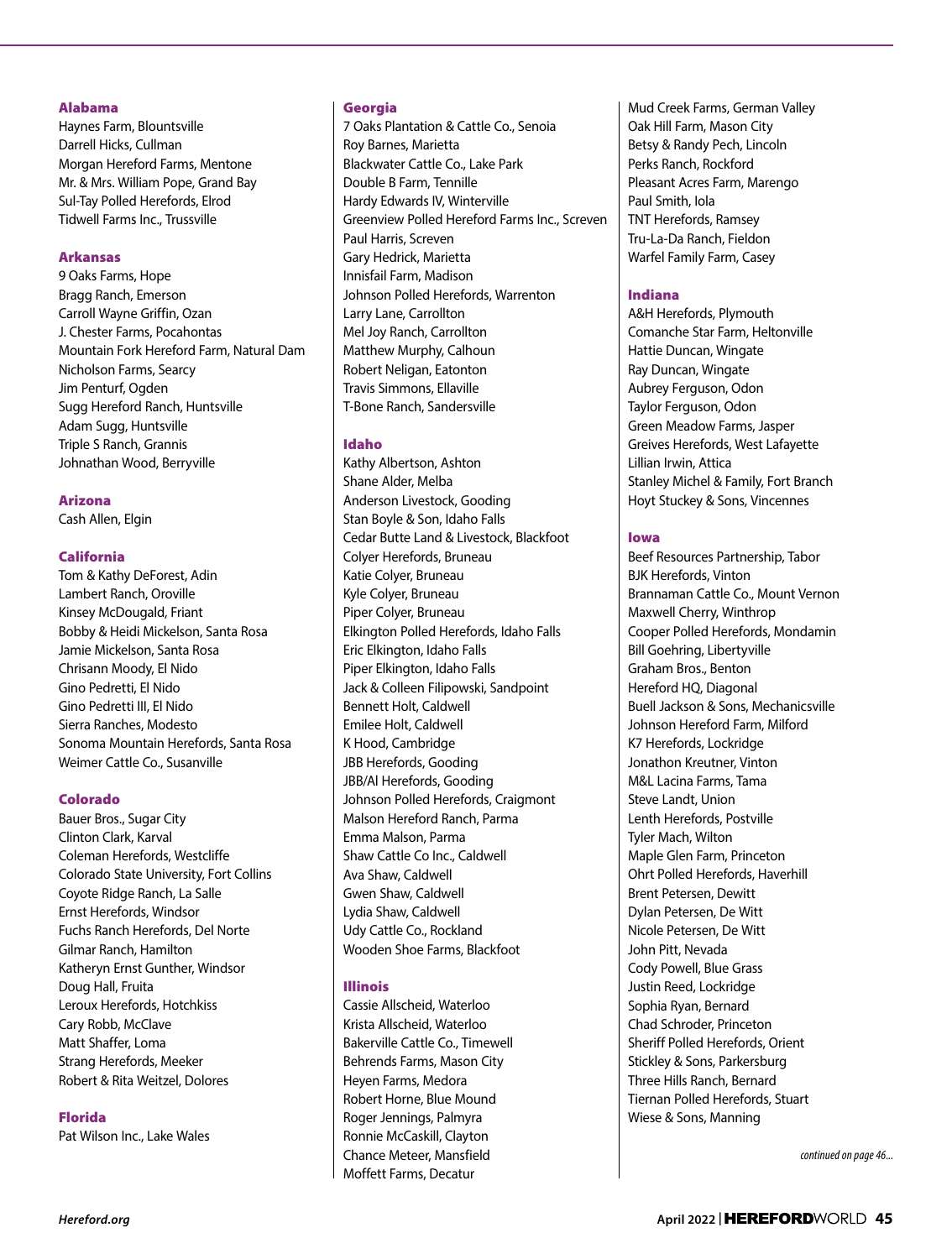# Alabama

Haynes Farm, Blountsville Darrell Hicks, Cullman Morgan Hereford Farms, Mentone Mr. & Mrs. William Pope, Grand Bay Sul-Tay Polled Herefords, Elrod Tidwell Farms Inc., Trussville

# Arkansas

9 Oaks Farms, Hope Bragg Ranch, Emerson Carroll Wayne Griffin, Ozan J. Chester Farms, Pocahontas Mountain Fork Hereford Farm, Natural Dam Nicholson Farms, Searcy Jim Penturf, Ogden Sugg Hereford Ranch, Huntsville Adam Sugg, Huntsville Triple S Ranch, Grannis Johnathan Wood, Berryville

# Arizona

Cash Allen, Elgin

# California

Tom & Kathy DeForest, Adin Lambert Ranch, Oroville Kinsey McDougald, Friant Bobby & Heidi Mickelson, Santa Rosa Jamie Mickelson, Santa Rosa Chrisann Moody, El Nido Gino Pedretti, El Nido Gino Pedretti III, El Nido Sierra Ranches, Modesto Sonoma Mountain Herefords, Santa Rosa Weimer Cattle Co., Susanville

# Colorado

Bauer Bros., Sugar City Clinton Clark, Karval Coleman Herefords, Westcliffe Colorado State University, Fort Collins Coyote Ridge Ranch, La Salle Ernst Herefords, Windsor Fuchs Ranch Herefords, Del Norte Gilmar Ranch, Hamilton Katheryn Ernst Gunther, Windsor Doug Hall, Fruita Leroux Herefords, Hotchkiss Cary Robb, McClave Matt Shaffer, Loma Strang Herefords, Meeker Robert & Rita Weitzel, Dolores

# Florida

Pat Wilson Inc., Lake Wales

# Georgia

7 Oaks Plantation & Cattle Co., Senoia Roy Barnes, Marietta Blackwater Cattle Co., Lake Park Double B Farm, Tennille Hardy Edwards IV, Winterville Greenview Polled Hereford Farms Inc., Screven Paul Harris, Screven Gary Hedrick, Marietta Innisfail Farm, Madison Johnson Polled Herefords, Warrenton Larry Lane, Carrollton Mel Joy Ranch, Carrollton Matthew Murphy, Calhoun Robert Neligan, Eatonton Travis Simmons, Ellaville T-Bone Ranch, Sandersville

# Idaho

Kathy Albertson, Ashton Shane Alder, Melba Anderson Livestock, Gooding Stan Boyle & Son, Idaho Falls Cedar Butte Land & Livestock, Blackfoot Colyer Herefords, Bruneau Katie Colyer, Bruneau Kyle Colyer, Bruneau Piper Colyer, Bruneau Elkington Polled Herefords, Idaho Falls Eric Elkington, Idaho Falls Piper Elkington, Idaho Falls Jack & Colleen Filipowski, Sandpoint Bennett Holt, Caldwell Emilee Holt, Caldwell K Hood, Cambridge JBB Herefords, Gooding JBB/Al Herefords, Gooding Johnson Polled Herefords, Craigmont Malson Hereford Ranch, Parma Emma Malson, Parma Shaw Cattle Co Inc., Caldwell Ava Shaw, Caldwell Gwen Shaw, Caldwell Lydia Shaw, Caldwell Udy Cattle Co., Rockland Wooden Shoe Farms, Blackfoot

# Illinois

Cassie Allscheid, Waterloo Krista Allscheid, Waterloo Bakerville Cattle Co., Timewell Behrends Farms, Mason City Heyen Farms, Medora Robert Horne, Blue Mound Roger Jennings, Palmyra Ronnie McCaskill, Clayton Chance Meteer, Mansfield Moffett Farms, Decatur

Mud Creek Farms, German Valley Oak Hill Farm, Mason City Betsy & Randy Pech, Lincoln Perks Ranch, Rockford Pleasant Acres Farm, Marengo Paul Smith, Iola TNT Herefords, Ramsey Tru-La-Da Ranch, Fieldon Warfel Family Farm, Casey

# Indiana

A&H Herefords, Plymouth Comanche Star Farm, Heltonville Hattie Duncan, Wingate Ray Duncan, Wingate Aubrey Ferguson, Odon Taylor Ferguson, Odon Green Meadow Farms, Jasper Greives Herefords, West Lafayette Lillian Irwin, Attica Stanley Michel & Family, Fort Branch Hoyt Stuckey & Sons, Vincennes

# Iowa

Beef Resources Partnership, Tabor BJK Herefords, Vinton Brannaman Cattle Co., Mount Vernon Maxwell Cherry, Winthrop Cooper Polled Herefords, Mondamin Bill Goehring, Libertyville Graham Bros., Benton Hereford HQ, Diagonal Buell Jackson & Sons, Mechanicsville Johnson Hereford Farm, Milford K7 Herefords, Lockridge Jonathon Kreutner, Vinton M&L Lacina Farms, Tama Steve Landt, Union Lenth Herefords, Postville Tyler Mach, Wilton Maple Glen Farm, Princeton Ohrt Polled Herefords, Haverhill Brent Petersen, Dewitt Dylan Petersen, De Witt Nicole Petersen, De Witt John Pitt, Nevada Cody Powell, Blue Grass Justin Reed, Lockridge Sophia Ryan, Bernard Chad Schroder, Princeton Sheriff Polled Herefords, Orient Stickley & Sons, Parkersburg Three Hills Ranch, Bernard Tiernan Polled Herefords, Stuart Wiese & Sons, Manning

*continued on page 46...*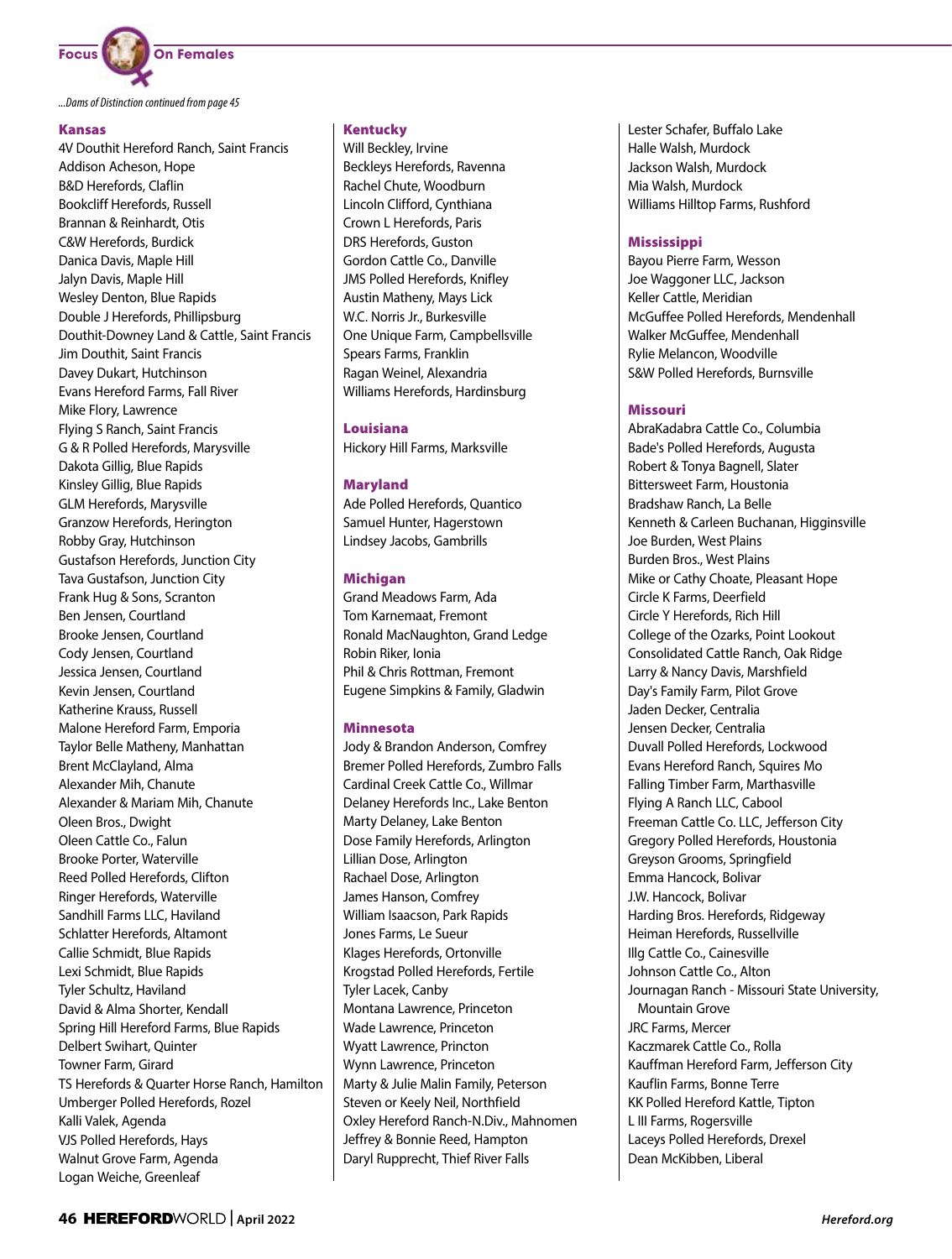

*...Dams of Distinction continued from page 45*

#### Kansas

4V Douthit Hereford Ranch, Saint Francis Addison Acheson, Hope B&D Herefords, Claflin Bookcliff Herefords, Russell Brannan & Reinhardt, Otis C&W Herefords, Burdick Danica Davis, Maple Hill Jalyn Davis, Maple Hill Wesley Denton, Blue Rapids Double J Herefords, Phillipsburg Douthit-Downey Land & Cattle, Saint Francis Jim Douthit, Saint Francis Davey Dukart, Hutchinson Evans Hereford Farms, Fall River Mike Flory, Lawrence Flying S Ranch, Saint Francis G & R Polled Herefords, Marysville Dakota Gillig, Blue Rapids Kinsley Gillig, Blue Rapids GLM Herefords, Marysville Granzow Herefords, Herington Robby Gray, Hutchinson Gustafson Herefords, Junction City Tava Gustafson, Junction City Frank Hug & Sons, Scranton Ben Jensen, Courtland Brooke Jensen, Courtland Cody Jensen, Courtland Jessica Jensen, Courtland Kevin Jensen, Courtland Katherine Krauss, Russell Malone Hereford Farm, Emporia Taylor Belle Matheny, Manhattan Brent McClayland, Alma Alexander Mih, Chanute Alexander & Mariam Mih, Chanute Oleen Bros., Dwight Oleen Cattle Co., Falun Brooke Porter, Waterville Reed Polled Herefords, Clifton Ringer Herefords, Waterville Sandhill Farms LLC, Haviland Schlatter Herefords, Altamont Callie Schmidt, Blue Rapids Lexi Schmidt, Blue Rapids Tyler Schultz, Haviland David & Alma Shorter, Kendall Spring Hill Hereford Farms, Blue Rapids Delbert Swihart, Quinter Towner Farm, Girard TS Herefords & Quarter Horse Ranch, Hamilton Umberger Polled Herefords, Rozel Kalli Valek, Agenda VJS Polled Herefords, Hays Walnut Grove Farm, Agenda Logan Weiche, Greenleaf

#### Kentucky

Will Beckley, Irvine Beckleys Herefords, Ravenna Rachel Chute, Woodburn Lincoln Clifford, Cynthiana Crown L Herefords, Paris DRS Herefords, Guston Gordon Cattle Co., Danville JMS Polled Herefords, Knifley Austin Matheny, Mays Lick W.C. Norris Jr., Burkesville One Unique Farm, Campbellsville Spears Farms, Franklin Ragan Weinel, Alexandria Williams Herefords, Hardinsburg

Louisiana Hickory Hill Farms, Marksville

# Maryland

Ade Polled Herefords, Quantico Samuel Hunter, Hagerstown Lindsey Jacobs, Gambrills

# Michigan

Grand Meadows Farm, Ada Tom Karnemaat, Fremont Ronald MacNaughton, Grand Ledge Robin Riker, Ionia Phil & Chris Rottman, Fremont Eugene Simpkins & Family, Gladwin

# Minnesota

Jody & Brandon Anderson, Comfrey Bremer Polled Herefords, Zumbro Falls Cardinal Creek Cattle Co., Willmar Delaney Herefords Inc., Lake Benton Marty Delaney, Lake Benton Dose Family Herefords, Arlington Lillian Dose, Arlington Rachael Dose, Arlington James Hanson, Comfrey William Isaacson, Park Rapids Jones Farms, Le Sueur Klages Herefords, Ortonville Krogstad Polled Herefords, Fertile Tyler Lacek, Canby Montana Lawrence, Princeton Wade Lawrence, Princeton Wyatt Lawrence, Princton Wynn Lawrence, Princeton Marty & Julie Malin Family, Peterson Steven or Keely Neil, Northfield Oxley Hereford Ranch-N.Div., Mahnomen Jeffrey & Bonnie Reed, Hampton Daryl Rupprecht, Thief River Falls

Lester Schafer, Buffalo Lake Halle Walsh, Murdock Jackson Walsh, Murdock Mia Walsh, Murdock Williams Hilltop Farms, Rushford

# **Mississippi**

Bayou Pierre Farm, Wesson Joe Waggoner LLC, Jackson Keller Cattle, Meridian McGuffee Polled Herefords, Mendenhall Walker McGuffee, Mendenhall Rylie Melancon, Woodville S&W Polled Herefords, Burnsville

# Missouri

AbraKadabra Cattle Co., Columbia Bade's Polled Herefords, Augusta Robert & Tonya Bagnell, Slater Bittersweet Farm, Houstonia Bradshaw Ranch, La Belle Kenneth & Carleen Buchanan, Higginsville Joe Burden, West Plains Burden Bros., West Plains Mike or Cathy Choate, Pleasant Hope Circle K Farms, Deerfield Circle Y Herefords, Rich Hill College of the Ozarks, Point Lookout Consolidated Cattle Ranch, Oak Ridge Larry & Nancy Davis, Marshfield Day's Family Farm, Pilot Grove Jaden Decker, Centralia Jensen Decker, Centralia Duvall Polled Herefords, Lockwood Evans Hereford Ranch, Squires Mo Falling Timber Farm, Marthasville Flying A Ranch LLC, Cabool Freeman Cattle Co. LLC, Jefferson City Gregory Polled Herefords, Houstonia Greyson Grooms, Springfield Emma Hancock, Bolivar J.W. Hancock, Bolivar Harding Bros. Herefords, Ridgeway Heiman Herefords, Russellville Illg Cattle Co., Cainesville Johnson Cattle Co., Alton Journagan Ranch - Missouri State University, Mountain Grove JRC Farms, Mercer Kaczmarek Cattle Co., Rolla Kauffman Hereford Farm, Jefferson City Kauflin Farms, Bonne Terre KK Polled Hereford Kattle, Tipton L III Farms, Rogersville Laceys Polled Herefords, Drexel Dean McKibben, Liberal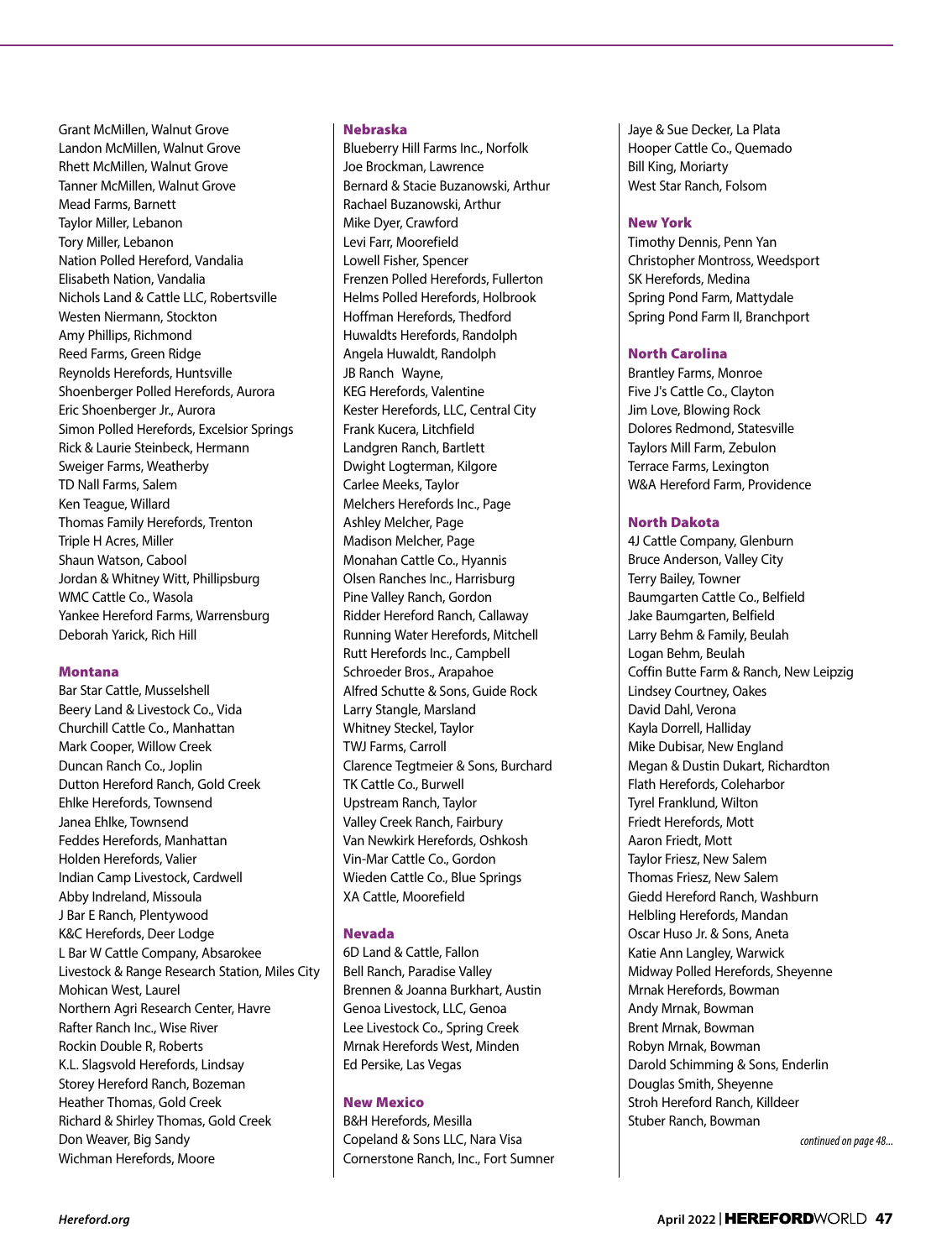Grant McMillen, Walnut Grove Landon McMillen, Walnut Grove Rhett McMillen, Walnut Grove Tanner McMillen, Walnut Grove Mead Farms, Barnett Taylor Miller, Lebanon Tory Miller, Lebanon Nation Polled Hereford, Vandalia Elisabeth Nation, Vandalia Nichols Land & Cattle LLC, Robertsville Westen Niermann, Stockton Amy Phillips, Richmond Reed Farms, Green Ridge Reynolds Herefords, Huntsville Shoenberger Polled Herefords, Aurora Eric Shoenberger Jr., Aurora Simon Polled Herefords, Excelsior Springs Rick & Laurie Steinbeck, Hermann Sweiger Farms, Weatherby TD Nall Farms, Salem Ken Teague, Willard Thomas Family Herefords, Trenton Triple H Acres, Miller Shaun Watson, Cabool Jordan & Whitney Witt, Phillipsburg WMC Cattle Co., Wasola Yankee Hereford Farms, Warrensburg Deborah Yarick, Rich Hill

# Montana

Bar Star Cattle, Musselshell Beery Land & Livestock Co., Vida Churchill Cattle Co., Manhattan Mark Cooper, Willow Creek Duncan Ranch Co., Joplin Dutton Hereford Ranch, Gold Creek Ehlke Herefords, Townsend Janea Ehlke, Townsend Feddes Herefords, Manhattan Holden Herefords, Valier Indian Camp Livestock, Cardwell Abby Indreland, Missoula J Bar E Ranch, Plentywood K&C Herefords, Deer Lodge L Bar W Cattle Company, Absarokee Livestock & Range Research Station, Miles City Mohican West, Laurel Northern Agri Research Center, Havre Rafter Ranch Inc., Wise River Rockin Double R, Roberts K.L. Slagsvold Herefords, Lindsay Storey Hereford Ranch, Bozeman Heather Thomas, Gold Creek Richard & Shirley Thomas, Gold Creek Don Weaver, Big Sandy Wichman Herefords, Moore

#### Nebraska

Blueberry Hill Farms Inc., Norfolk Joe Brockman, Lawrence Bernard & Stacie Buzanowski, Arthur Rachael Buzanowski, Arthur Mike Dyer, Crawford Levi Farr, Moorefield Lowell Fisher, Spencer Frenzen Polled Herefords, Fullerton Helms Polled Herefords, Holbrook Hoffman Herefords, Thedford Huwaldts Herefords, Randolph Angela Huwaldt, Randolph JB Ranch Wayne, KEG Herefords, Valentine Kester Herefords, LLC, Central City Frank Kucera, Litchfield Landgren Ranch, Bartlett Dwight Logterman, Kilgore Carlee Meeks, Taylor Melchers Herefords Inc., Page Ashley Melcher, Page Madison Melcher, Page Monahan Cattle Co., Hyannis Olsen Ranches Inc., Harrisburg Pine Valley Ranch, Gordon Ridder Hereford Ranch, Callaway Running Water Herefords, Mitchell Rutt Herefords Inc., Campbell Schroeder Bros., Arapahoe Alfred Schutte & Sons, Guide Rock Larry Stangle, Marsland Whitney Steckel, Taylor TWJ Farms, Carroll Clarence Tegtmeier & Sons, Burchard TK Cattle Co., Burwell Upstream Ranch, Taylor Valley Creek Ranch, Fairbury Van Newkirk Herefords, Oshkosh Vin-Mar Cattle Co., Gordon Wieden Cattle Co., Blue Springs XA Cattle, Moorefield

# Nevada

6D Land & Cattle, Fallon Bell Ranch, Paradise Valley Brennen & Joanna Burkhart, Austin Genoa Livestock, LLC, Genoa Lee Livestock Co., Spring Creek Mrnak Herefords West, Minden Ed Persike, Las Vegas

# New Mexico

B&H Herefords, Mesilla Copeland & Sons LLC, Nara Visa Cornerstone Ranch, Inc., Fort Sumner

Jaye & Sue Decker, La Plata Hooper Cattle Co., Quemado Bill King, Moriarty West Star Ranch, Folsom

#### New York

Timothy Dennis, Penn Yan Christopher Montross, Weedsport SK Herefords, Medina Spring Pond Farm, Mattydale Spring Pond Farm II, Branchport

# North Carolina

Brantley Farms, Monroe Five J's Cattle Co., Clayton Jim Love, Blowing Rock Dolores Redmond, Statesville Taylors Mill Farm, Zebulon Terrace Farms, Lexington W&A Hereford Farm, Providence

#### North Dakota

4J Cattle Company, Glenburn Bruce Anderson, Valley City Terry Bailey, Towner Baumgarten Cattle Co., Belfield Jake Baumgarten, Belfield Larry Behm & Family, Beulah Logan Behm, Beulah Coffin Butte Farm & Ranch, New Leipzig Lindsey Courtney, Oakes David Dahl, Verona Kayla Dorrell, Halliday Mike Dubisar, New England Megan & Dustin Dukart, Richardton Flath Herefords, Coleharbor Tyrel Franklund, Wilton Friedt Herefords, Mott Aaron Friedt, Mott Taylor Friesz, New Salem Thomas Friesz, New Salem Giedd Hereford Ranch, Washburn Helbling Herefords, Mandan Oscar Huso Jr. & Sons, Aneta Katie Ann Langley, Warwick Midway Polled Herefords, Sheyenne Mrnak Herefords, Bowman Andy Mrnak, Bowman Brent Mrnak, Bowman Robyn Mrnak, Bowman Darold Schimming & Sons, Enderlin Douglas Smith, Sheyenne Stroh Hereford Ranch, Killdeer Stuber Ranch, Bowman

*continued on page 48...*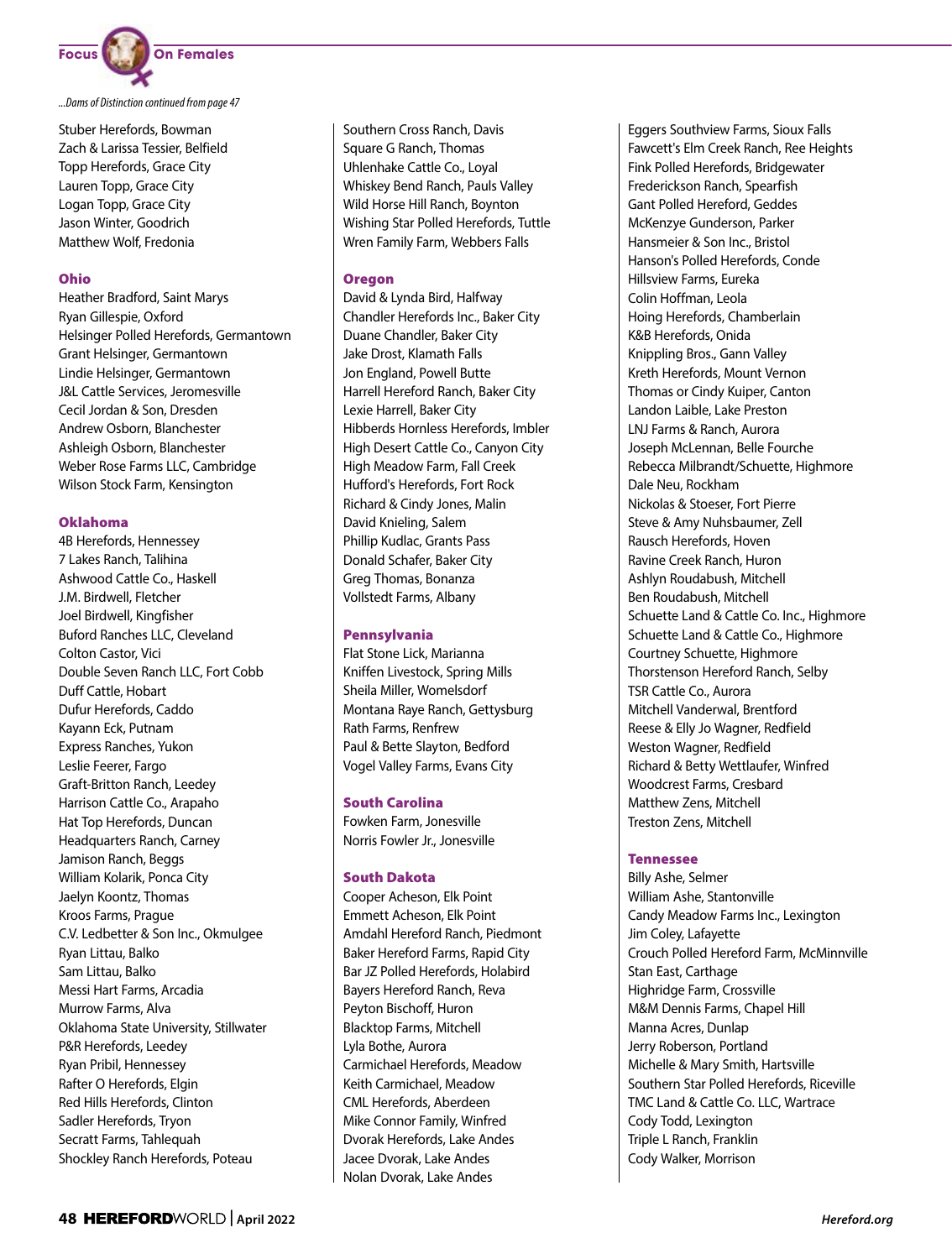

*...Dams of Distinction continued from page 47*

Stuber Herefords, Bowman Zach & Larissa Tessier, Belfield Topp Herefords, Grace City Lauren Topp, Grace City Logan Topp, Grace City Jason Winter, Goodrich Matthew Wolf, Fredonia

# Ohio

Heather Bradford, Saint Marys Ryan Gillespie, Oxford Helsinger Polled Herefords, Germantown Grant Helsinger, Germantown Lindie Helsinger, Germantown J&L Cattle Services, Jeromesville Cecil Jordan & Son, Dresden Andrew Osborn, Blanchester Ashleigh Osborn, Blanchester Weber Rose Farms LLC, Cambridge Wilson Stock Farm, Kensington

# Oklahoma

4B Herefords, Hennessey 7 Lakes Ranch, Talihina Ashwood Cattle Co., Haskell J.M. Birdwell, Fletcher Joel Birdwell, Kingfisher Buford Ranches LLC, Cleveland Colton Castor, Vici Double Seven Ranch LLC, Fort Cobb Duff Cattle, Hobart Dufur Herefords, Caddo Kayann Eck, Putnam Express Ranches, Yukon Leslie Feerer, Fargo Graft-Britton Ranch, Leedey Harrison Cattle Co., Arapaho Hat Top Herefords, Duncan Headquarters Ranch, Carney Jamison Ranch, Beggs William Kolarik, Ponca City Jaelyn Koontz, Thomas Kroos Farms, Prague C.V. Ledbetter & Son Inc., Okmulgee Ryan Littau, Balko Sam Littau, Balko Messi Hart Farms, Arcadia Murrow Farms, Alva Oklahoma State University, Stillwater P&R Herefords, Leedey Ryan Pribil, Hennessey Rafter O Herefords, Elgin Red Hills Herefords, Clinton Sadler Herefords, Tryon Secratt Farms, Tahlequah Shockley Ranch Herefords, Poteau

Southern Cross Ranch, Davis Square G Ranch, Thomas Uhlenhake Cattle Co., Loyal Whiskey Bend Ranch, Pauls Valley Wild Horse Hill Ranch, Boynton Wishing Star Polled Herefords, Tuttle Wren Family Farm, Webbers Falls

# Oregon

David & Lynda Bird, Halfway Chandler Herefords Inc., Baker City Duane Chandler, Baker City Jake Drost, Klamath Falls Jon England, Powell Butte Harrell Hereford Ranch, Baker City Lexie Harrell, Baker City Hibberds Hornless Herefords, Imbler High Desert Cattle Co., Canyon City High Meadow Farm, Fall Creek Hufford's Herefords, Fort Rock Richard & Cindy Jones, Malin David Knieling, Salem Phillip Kudlac, Grants Pass Donald Schafer, Baker City Greg Thomas, Bonanza Vollstedt Farms, Albany

# Pennsylvania

Flat Stone Lick, Marianna Kniffen Livestock, Spring Mills Sheila Miller, Womelsdorf Montana Raye Ranch, Gettysburg Rath Farms, Renfrew Paul & Bette Slayton, Bedford Vogel Valley Farms, Evans City

# South Carolina

Fowken Farm, Jonesville Norris Fowler Jr., Jonesville

# South Dakota

Cooper Acheson, Elk Point Emmett Acheson, Elk Point Amdahl Hereford Ranch, Piedmont Baker Hereford Farms, Rapid City Bar JZ Polled Herefords, Holabird Bayers Hereford Ranch, Reva Peyton Bischoff, Huron Blacktop Farms, Mitchell Lyla Bothe, Aurora Carmichael Herefords, Meadow Keith Carmichael, Meadow CML Herefords, Aberdeen Mike Connor Family, Winfred Dvorak Herefords, Lake Andes Jacee Dvorak, Lake Andes Nolan Dvorak, Lake Andes

Eggers Southview Farms, Sioux Falls Fawcett's Elm Creek Ranch, Ree Heights Fink Polled Herefords, Bridgewater Frederickson Ranch, Spearfish Gant Polled Hereford, Geddes McKenzye Gunderson, Parker Hansmeier & Son Inc., Bristol Hanson's Polled Herefords, Conde Hillsview Farms, Eureka Colin Hoffman, Leola Hoing Herefords, Chamberlain K&B Herefords, Onida Knippling Bros., Gann Valley Kreth Herefords, Mount Vernon Thomas or Cindy Kuiper, Canton Landon Laible, Lake Preston LNJ Farms & Ranch, Aurora Joseph McLennan, Belle Fourche Rebecca Milbrandt/Schuette, Highmore Dale Neu, Rockham Nickolas & Stoeser, Fort Pierre Steve & Amy Nuhsbaumer, Zell Rausch Herefords, Hoven Ravine Creek Ranch, Huron Ashlyn Roudabush, Mitchell Ben Roudabush, Mitchell Schuette Land & Cattle Co. Inc., Highmore Schuette Land & Cattle Co., Highmore Courtney Schuette, Highmore Thorstenson Hereford Ranch, Selby TSR Cattle Co., Aurora Mitchell Vanderwal, Brentford Reese & Elly Jo Wagner, Redfield Weston Wagner, Redfield Richard & Betty Wettlaufer, Winfred Woodcrest Farms, Cresbard Matthew Zens, Mitchell Treston Zens, Mitchell

# Tennessee

Billy Ashe, Selmer William Ashe, Stantonville Candy Meadow Farms Inc., Lexington Jim Coley, Lafayette Crouch Polled Hereford Farm, McMinnville Stan East, Carthage Highridge Farm, Crossville M&M Dennis Farms, Chapel Hill Manna Acres, Dunlap Jerry Roberson, Portland Michelle & Mary Smith, Hartsville Southern Star Polled Herefords, Riceville TMC Land & Cattle Co. LLC, Wartrace Cody Todd, Lexington Triple L Ranch, Franklin Cody Walker, Morrison